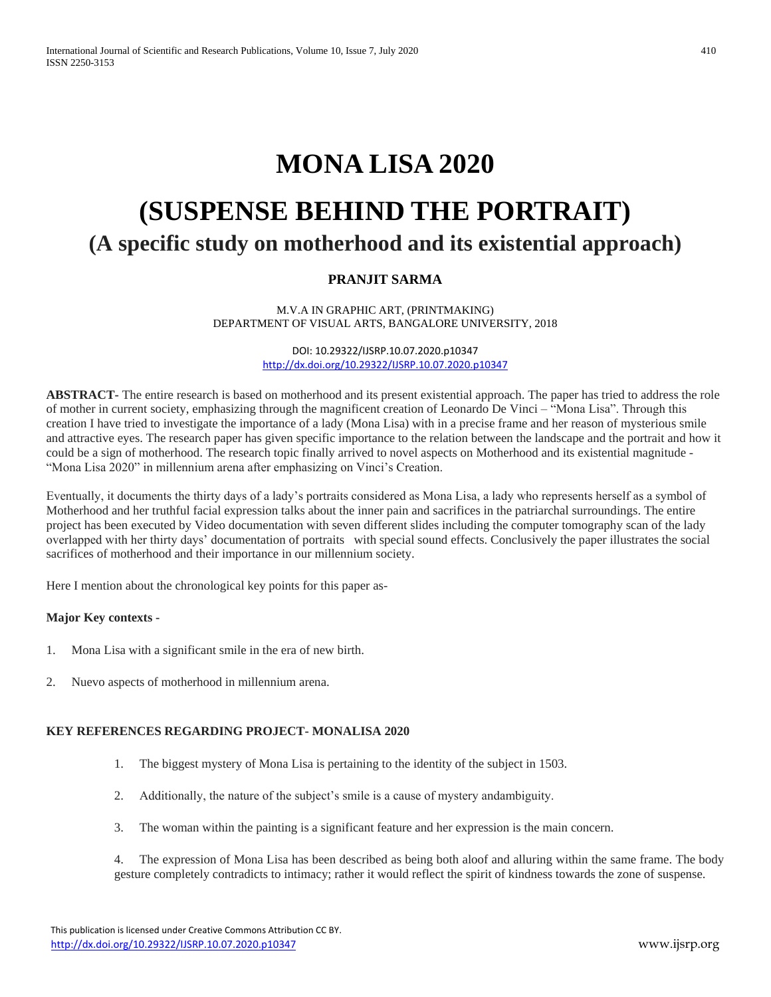# **MONA LISA 2020**

# **(SUSPENSE BEHIND THE PORTRAIT) (A specific study on motherhood and its existential approach)**

# **PRANJIT SARMA**

M.V.A IN GRAPHIC ART, (PRINTMAKING) DEPARTMENT OF VISUAL ARTS, BANGALORE UNIVERSITY, 2018

> DOI: 10.29322/IJSRP.10.07.2020.p10347 <http://dx.doi.org/10.29322/IJSRP.10.07.2020.p10347>

**ABSTRACT-** The entire research is based on motherhood and its present existential approach. The paper has tried to address the role of mother in current society, emphasizing through the magnificent creation of Leonardo De Vinci – "Mona Lisa". Through this creation I have tried to investigate the importance of a lady (Mona Lisa) with in a precise frame and her reason of mysterious smile and attractive eyes. The research paper has given specific importance to the relation between the landscape and the portrait and how it could be a sign of motherhood. The research topic finally arrived to novel aspects on Motherhood and its existential magnitude - "Mona Lisa 2020" in millennium arena after emphasizing on Vinci's Creation.

Eventually, it documents the thirty days of a lady's portraits considered as Mona Lisa, a lady who represents herself as a symbol of Motherhood and her truthful facial expression talks about the inner pain and sacrifices in the patriarchal surroundings. The entire project has been executed by Video documentation with seven different slides including the computer tomography scan of the lady overlapped with her thirty days' documentation of portraits with special sound effects. Conclusively the paper illustrates the social sacrifices of motherhood and their importance in our millennium society.

Here I mention about the chronological key points for this paper as-

## **Major Key contexts -**

- 1. Mona Lisa with a significant smile in the era of new birth.
- 2. Nuevo aspects of motherhood in millennium arena.

## **KEY REFERENCES REGARDING PROJECT- MONALISA 2020**

- 1. The biggest mystery of Mona Lisa is pertaining to the identity of the subject in 1503.
- 2. Additionally, the nature of the subject's smile is a cause of mystery andambiguity.
- 3. The woman within the painting is a significant feature and her expression is the main concern.
- 4. The expression of Mona Lisa has been described as being both aloof and alluring within the same frame. The body gesture completely contradicts to intimacy; rather it would reflect the spirit of kindness towards the zone of suspense.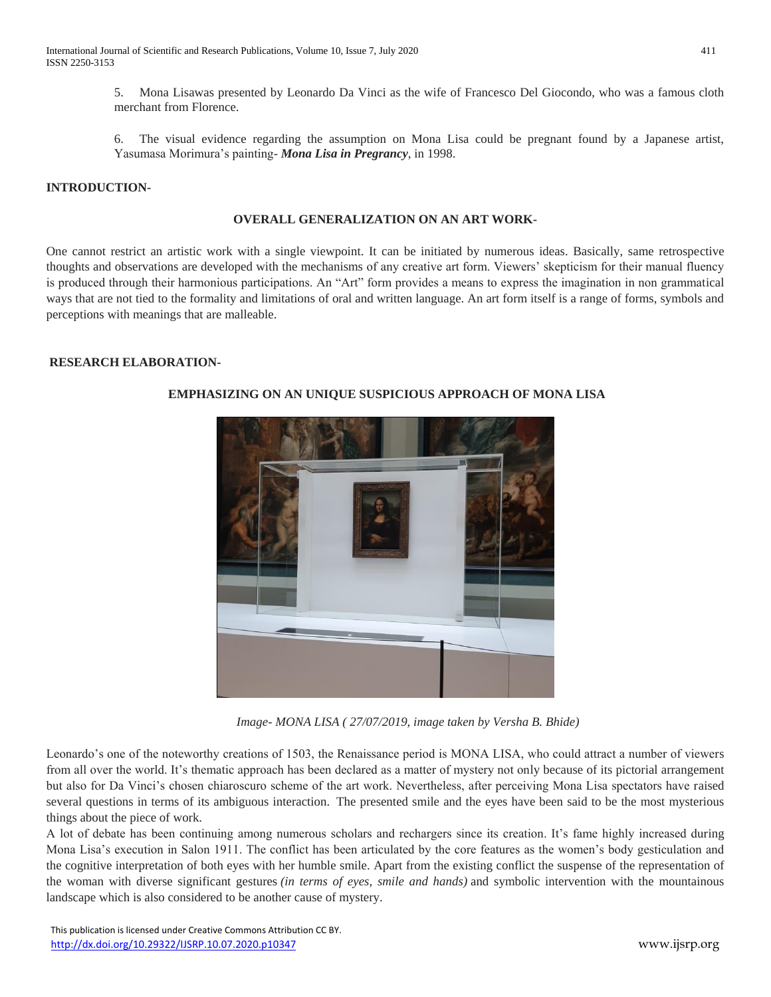5. Mona Lisawas presented by Leonardo Da Vinci as the wife of Francesco Del Giocondo, who was a famous cloth merchant from Florence.

6. The visual evidence regarding the assumption on Mona Lisa could be pregnant found by a Japanese artist, Yasumasa Morimura's painting- *Mona Lisa in Pregrancy*, in 1998.

# **INTRODUCTION-**

#### **OVERALL GENERALIZATION ON AN ART WORK-**

One cannot restrict an artistic work with a single viewpoint. It can be initiated by numerous ideas. Basically, same retrospective thoughts and observations are developed with the mechanisms of any creative art form. Viewers' skepticism for their manual fluency is produced through their harmonious participations. An "Art" form provides a means to express the imagination in non grammatical ways that are not tied to the formality and limitations of oral and written language. An art form itself is a range of forms, symbols and perceptions with meanings that are malleable.

#### **RESEARCH ELABORATION-**



# **EMPHASIZING ON AN UNIQUE SUSPICIOUS APPROACH OF MONA LISA**

*Image- MONA LISA ( 27/07/2019, image taken by Versha B. Bhide)*

Leonardo's one of the noteworthy creations of 1503, the Renaissance period is MONA LISA, who could attract a number of viewers from all over the world. It's thematic approach has been declared as a matter of mystery not only because of its pictorial arrangement but also for Da Vinci's chosen chiaroscuro scheme of the art work. Nevertheless, after perceiving Mona Lisa spectators have raised several questions in terms of its ambiguous interaction. The presented smile and the eyes have been said to be the most mysterious things about the piece of work.

A lot of debate has been continuing among numerous scholars and rechargers since its creation. It's fame highly increased during Mona Lisa's execution in Salon 1911. The conflict has been articulated by the core features as the women's body gesticulation and the cognitive interpretation of both eyes with her humble smile. Apart from the existing conflict the suspense of the representation of the woman with diverse significant gestures *(in terms of eyes, smile and hands)* and symbolic intervention with the mountainous landscape which is also considered to be another cause of mystery.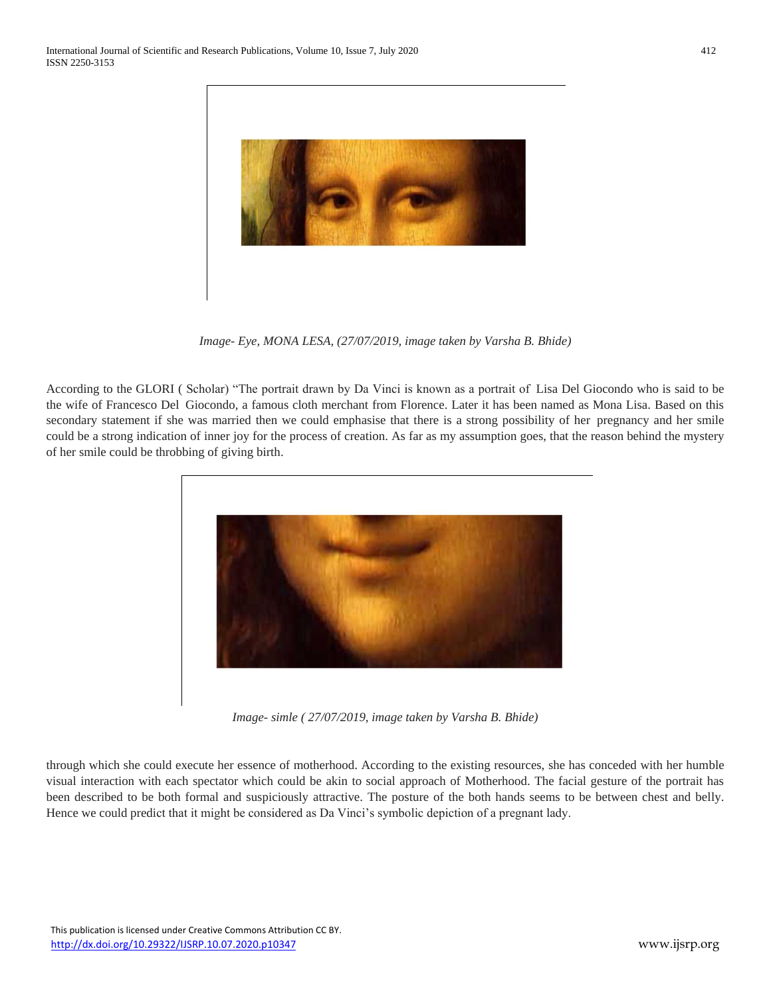

*Image- Eye, MONA LESA, (27/07/2019, image taken by Varsha B. Bhide)*

According to the GLORI ( Scholar) "The portrait drawn by Da Vinci is known as a portrait of Lisa Del Giocondo who is said to be the wife of Francesco Del Giocondo, a famous cloth merchant from Florence. Later it has been named as Mona Lisa. Based on this secondary statement if she was married then we could emphasise that there is a strong possibility of her pregnancy and her smile could be a strong indication of inner joy for the process of creation. As far as my assumption goes, that the reason behind the mystery of her smile could be throbbing of giving birth.



*Image- simle ( 27/07/2019, image taken by Varsha B. Bhide)*

through which she could execute her essence of motherhood. According to the existing resources, she has conceded with her humble visual interaction with each spectator which could be akin to social approach of Motherhood. The facial gesture of the portrait has been described to be both formal and suspiciously attractive. The posture of the both hands seems to be between chest and belly. Hence we could predict that it might be considered as Da Vinci's symbolic depiction of a pregnant lady.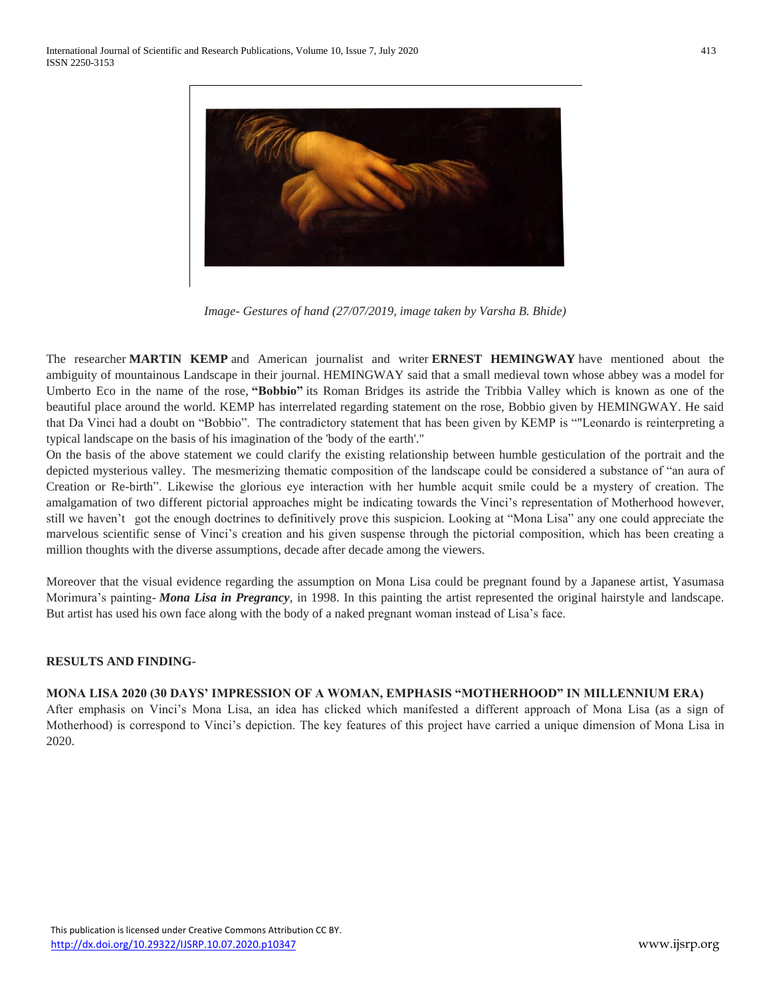

*Image- Gestures of hand (27/07/2019, image taken by Varsha B. Bhide)*

The researcher **MARTIN KEMP** and American journalist and writer **ERNEST HEMINGWAY** have mentioned about the ambiguity of mountainous Landscape in their journal. HEMINGWAY said that a small medieval town whose abbey was a model for Umberto Eco in the name of the rose, **"Bobbio"** its Roman Bridges its astride the Tribbia Valley which is known as one of the beautiful place around the world. KEMP has interrelated regarding statement on the rose, Bobbio given by HEMINGWAY. He said that Da Vinci had a doubt on "Bobbio". The contradictory statement that has been given by KEMP is ""Leonardo is reinterpreting a typical landscape on the basis of his imagination of the 'body of the earth'."

On the basis of the above statement we could clarify the existing relationship between humble gesticulation of the portrait and the depicted mysterious valley. The mesmerizing thematic composition of the landscape could be considered a substance of "an aura of Creation or Re-birth". Likewise the glorious eye interaction with her humble acquit smile could be a mystery of creation. The amalgamation of two different pictorial approaches might be indicating towards the Vinci's representation of Motherhood however, still we haven't got the enough doctrines to definitively prove this suspicion. Looking at "Mona Lisa" any one could appreciate the marvelous scientific sense of Vinci's creation and his given suspense through the pictorial composition, which has been creating a million thoughts with the diverse assumptions, decade after decade among the viewers.

Moreover that the visual evidence regarding the assumption on Mona Lisa could be pregnant found by a Japanese artist, Yasumasa Morimura's painting- *Mona Lisa in Pregrancy*, in 1998. In this painting the artist represented the original hairstyle and landscape. But artist has used his own face along with the body of a naked pregnant woman instead of Lisa's face.

## **RESULTS AND FINDING-**

#### **MONA LISA 2020 (30 DAYS' IMPRESSION OF A WOMAN, EMPHASIS "MOTHERHOOD" IN MILLENNIUM ERA)**

After emphasis on Vinci's Mona Lisa, an idea has clicked which manifested a different approach of Mona Lisa (as a sign of Motherhood) is correspond to Vinci's depiction. The key features of this project have carried a unique dimension of Mona Lisa in 2020.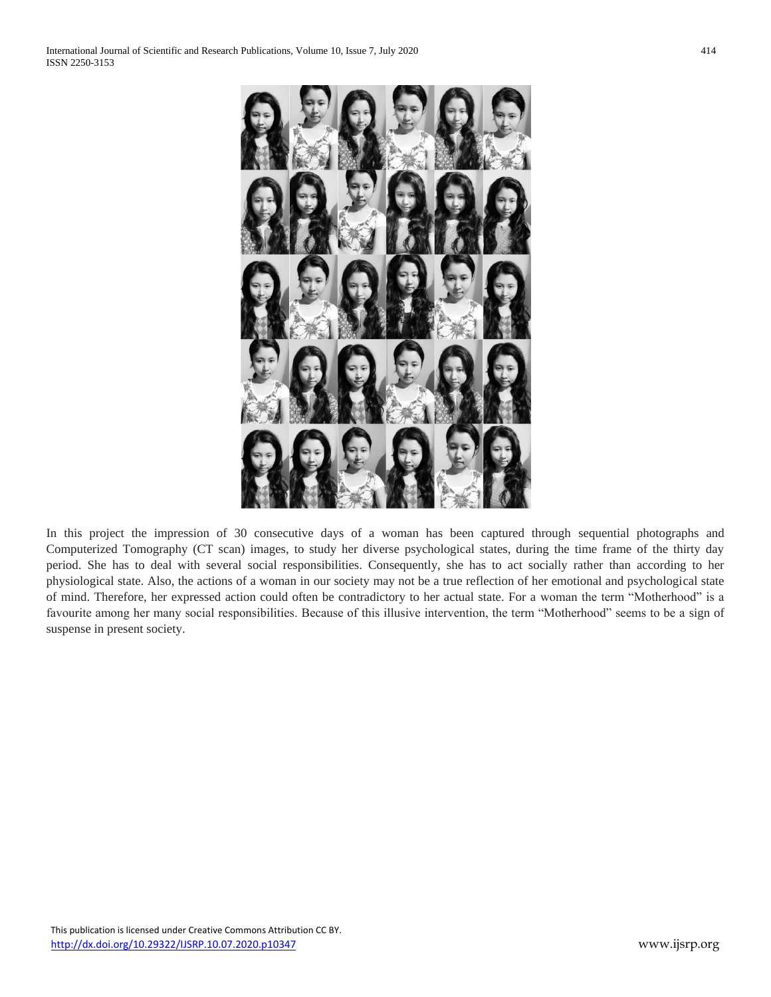

In this project the impression of 30 consecutive days of a woman has been captured through sequential photographs and Computerized Tomography (CT scan) images, to study her diverse psychological states, during the time frame of the thirty day period. She has to deal with several social responsibilities. Consequently, she has to act socially rather than according to her physiological state. Also, the actions of a woman in our society may not be a true reflection of her emotional and psychological state of mind. Therefore, her expressed action could often be contradictory to her actual state. For a woman the term "Motherhood" is a favourite among her many social responsibilities. Because of this illusive intervention, the term "Motherhood" seems to be a sign of suspense in present society.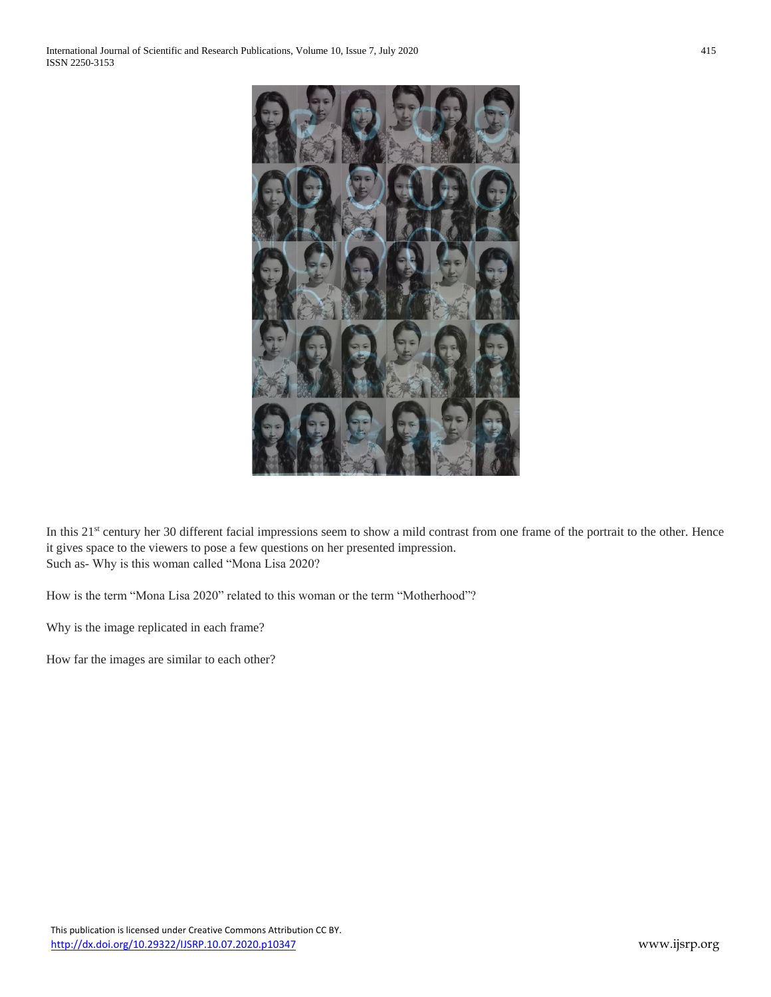

In this 21<sup>st</sup> century her 30 different facial impressions seem to show a mild contrast from one frame of the portrait to the other. Hence it gives space to the viewers to pose a few questions on her presented impression. Such as- Why is this woman called "Mona Lisa 2020?

How is the term "Mona Lisa 2020" related to this woman or the term "Motherhood"?

Why is the image replicated in each frame?

How far the images are similar to each other?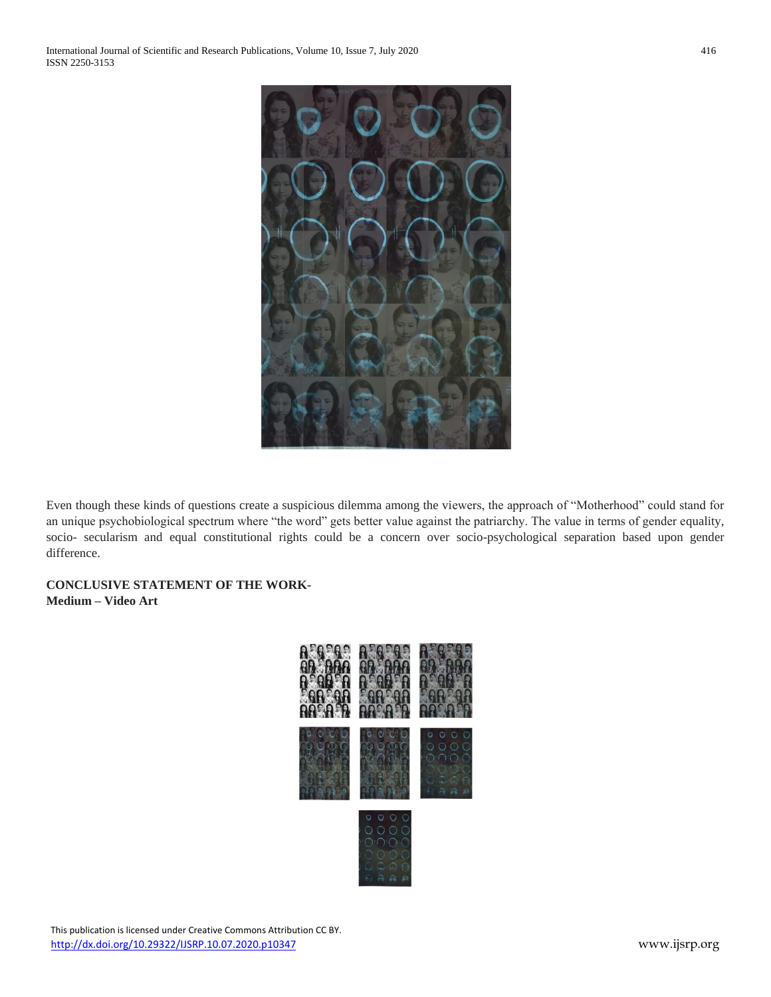

Even though these kinds of questions create a suspicious dilemma among the viewers, the approach of "Motherhood" could stand for an unique psychobiological spectrum where "the word" gets better value against the patriarchy. The value in terms of gender equality, socio- secularism and equal constitutional rights could be a concern over socio-psychological separation based upon gender difference.

**CONCLUSIVE STATEMENT OF THE WORK-Medium – Video Art**